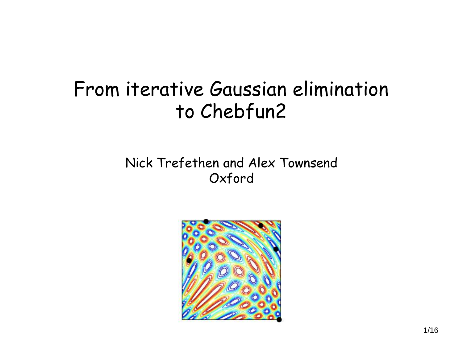#### From iterative Gaussian elimination to Chebfun2

#### Nick Trefethen and Alex Townsend Oxford

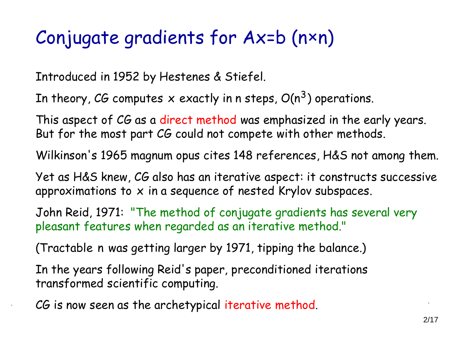#### Conjugate gradients for Ax=b (n×n)

Introduced in 1952 by Hestenes & Stiefel.

In theory, CG computes  $\boldsymbol{\mathsf{x}}$  exactly in n steps,  $O(\mathsf{n}^3)$  operations.

This aspect of CG as a direct method was emphasized in the early years. But for the most part CG could not compete with other methods.

Wilkinson's 1965 magnum opus cites 148 references, H&S not among them.

Yet as H&S knew, CG also has an iterative aspect: it constructs successive approximations to  $x$  in a sequence of nested Krylov subspaces.

John Reid, 1971: "The method of conjugate gradients has several very pleasant features when regarded as an iterative method."

(Tractable n was getting larger by 1971, tipping the balance.)

In the years following Reid's paper, preconditioned iterations transformed scientific computing.

CG is now seen as the archetypical iterative method.

.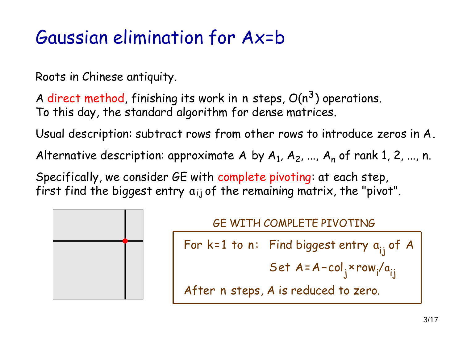#### Gaussian elimination for Ax=b

Roots in Chinese antiquity.

A direct method, finishing its work in n steps,  $O(n^3)$  operations. To this day, the standard algorithm for dense matrices.

Usual description: subtract rows from other rows to introduce zeros in A.

Alternative description: approximate  $A$  by  $A_1$ ,  $A_2$ , ...,  $A_n$  of rank 1, 2, ..., n.

Specifically, we consider GE with complete pivoting: at each step, first find the biggest entry  $a_{ij}$  of the remaining matrix, the "pivot".



#### GE WITH COMPLETE PIVOTING

**For k=1 to n: Find biggest entry a<sub>ij</sub> of A** 

Set 
$$
A = A - col_j \times row_i/a_{ij}
$$

After n steps, A is reduced to zero.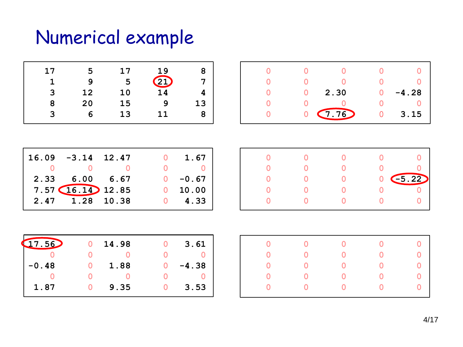# Numerical example

| 17 | 5  | 17 | 19              | 8  |
|----|----|----|-----------------|----|
|    |    |    |                 | 7  |
|    | q  | 5  | 21              |    |
| 3  | 12 | 10 | $\overline{14}$ |    |
| 8  | 20 | 15 | 9               | 13 |
| 3  | 6  | 13 | 11              | 8  |

| $16.09 - 3.14$ 12.47   |  | 1.67       |
|------------------------|--|------------|
|                        |  |            |
| 2.33 6.00 6.67         |  | $0 - 0.67$ |
| $7.57$ $(16.14)$ 12.85 |  | 10.00      |
| 2.47 1.28 10.38        |  | 4.33       |
|                        |  |            |

|  | 2.30                    |   | $-4.28$ |
|--|-------------------------|---|---------|
|  |                         |   |         |
|  | $0 \ \overline{(7.76)}$ | O | 3.15    |

|  | $\left(5.22\right)$ |
|--|---------------------|
|  |                     |
|  |                     |
|  |                     |

| (17.56) | 14.98 | 3.61    |
|---------|-------|---------|
|         |       |         |
| $-0.48$ | 1.88  | $-4.38$ |
|         |       |         |
| 1.87    | 9.35  | 3.53    |

| 0              | $\overline{\mathbf{0}}$ | $\overline{O}$ | $\overline{\mathbf{0}}$ | $\begin{bmatrix} 0 & 0 \ 0 & 0 \ 0 & 0 \ 0 & 0 \ 0 & 0 \end{bmatrix}$ |
|----------------|-------------------------|----------------|-------------------------|-----------------------------------------------------------------------|
| $\mathbf 0$    | $\overline{0}$          | $\overline{0}$ |                         |                                                                       |
| O              | $\overline{0}$          | $\overline{O}$ |                         |                                                                       |
|                |                         | $\bullet$ 0    |                         |                                                                       |
| $\overline{0}$ | $\overline{\mathbf{0}}$ | $\overline{0}$ | $\overline{0}$          |                                                                       |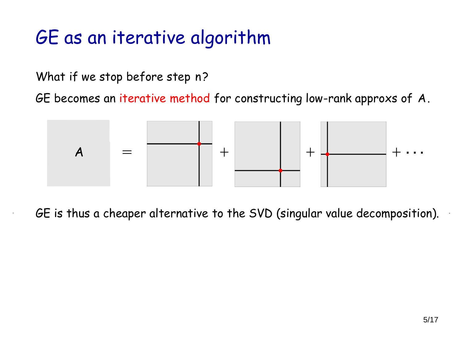### GE as an iterative algorithm

What if we stop before step n?

GE becomes an iterative method for constructing low-rank approxs of A.



GE is thus a cheaper alternative to the SVD (singular value decomposition). . .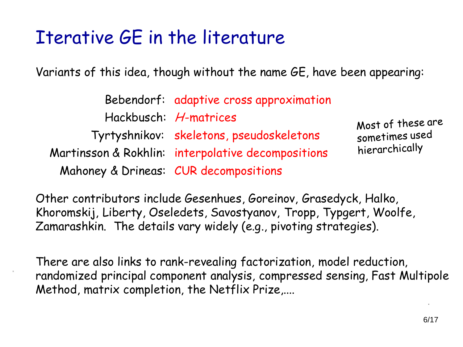#### Iterative GE in the literature

.

Variants of this idea, though without the name GE, have been appearing:

|  | Bebendorf: adaptive cross approximation            |                   |
|--|----------------------------------------------------|-------------------|
|  | Hackbusch: H-matrices                              | Most of these are |
|  | Tyrtyshnikov: skeletons, pseudoskeletons           | sometimes used    |
|  | Martinsson & Rokhlin: interpolative decompositions | hierarchically    |
|  | Mahoney & Drineas: CUR decompositions              |                   |

Other contributors include Gesenhues, Goreinov, Grasedyck, Halko, Khoromskij, Liberty, Oseledets, Savostyanov, Tropp, Typgert, Woolfe, Zamarashkin. The details vary widely (e.g., pivoting strategies).

There are also links to rank-revealing factorization, model reduction, randomized principal component analysis, compressed sensing, Fast Multipole Method, matrix completion, the Netflix Prize,....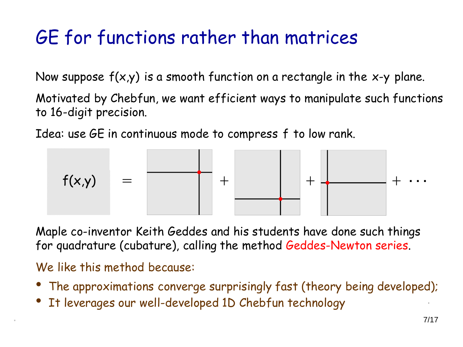### GE for functions rather than matrices

Now suppose  $f(x,y)$  is a smooth function on a rectangle in the x-y plane.

Motivated by Chebfun, we want efficient ways to manipulate such functions to 16-digit precision.

Idea: use GE in continuous mode to compress f to low rank.



Maple co-inventor Keith Geddes and his students have done such things for quadrature (cubature), calling the method Geddes-Newton series.

We like this method because:

.

- The approximations converge surprisingly fast (theory being developed);
- It leverages our well-developed 1D Chebfun technology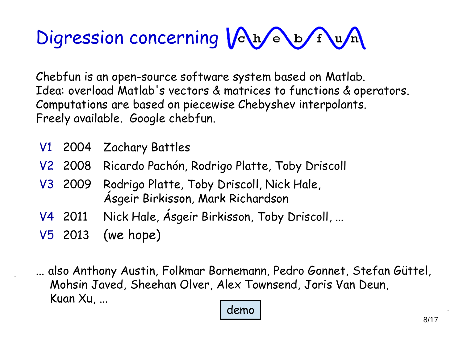# Digression concerning  $\sqrt{\frac{h}{\epsilon}}$ b $\sqrt{\frac{h}{m}}$

Chebfun is an open-source software system based on Matlab. Idea: overload Matlab's vectors & matrices to functions & operators. Computations are based on piecewise Chebyshev interpolants. Freely available. Google chebfun.

- V1 2004 Zachary Battles
- V2 2008 Ricardo Pachón, Rodrigo Platte, Toby Driscoll
- V3 2009 Rodrigo Platte, Toby Driscoll, Nick Hale, Ásgeir Birkisson, Mark Richardson
- V4 2011 Nick Hale, Ásgeir Birkisson, Toby Driscoll, ...
- V5 2013 (we hope)

.

... also Anthony Austin, Folkmar Bornemann, Pedro Gonnet, Stefan Güttel, Mohsin Javed, Sheehan Olver, Alex Townsend, Joris Van Deun, Kuan Xu, ... demo .

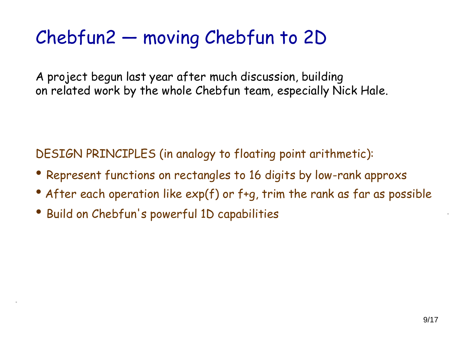### Chebfun2 — moving Chebfun to 2D

A project begun last year after much discussion, building on related work by the whole Chebfun team, especially Nick Hale.

DESIGN PRINCIPLES (in analogy to floating point arithmetic):

- Represent functions on rectangles to 16 digits by low-rank approxs
- After each operation like  $exp(f)$  or f+q, trim the rank as far as possible
- Build on Chebfun's powerful 1D capabilities

.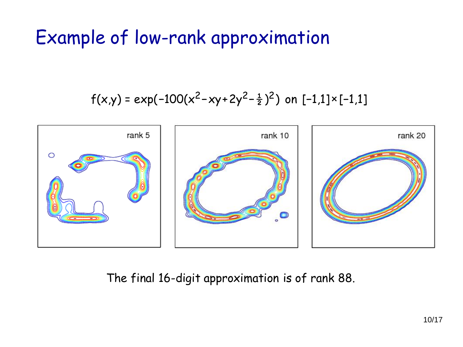### Example of low-rank approximation

$$
f(x,y) = exp(-100(x^2 - xy + 2y^2 - \frac{1}{2})^2)
$$
 on [-1,1]×[-1,1]



The final 16-digit approximation is of rank 88.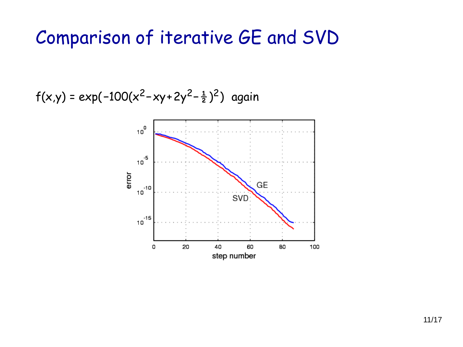#### Comparison of iterative GE and SVD

f(x,y) = exp(-100(x<sup>2</sup>-xy+2y<sup>2</sup>- $\frac{1}{2}$ )<sup>2</sup>) again

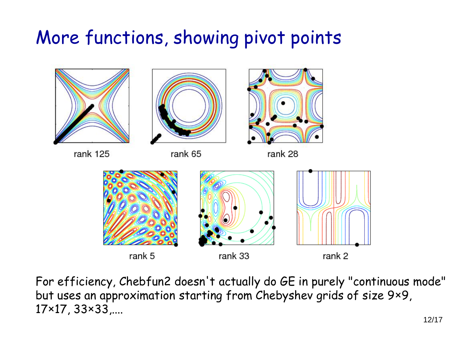#### More functions, showing pivot points



For efficiency, Chebfun2 doesn't actually do GE in purely "continuous mode" but uses an approximation starting from Chebyshev grids of size 9×9, 17×17, 33×33,....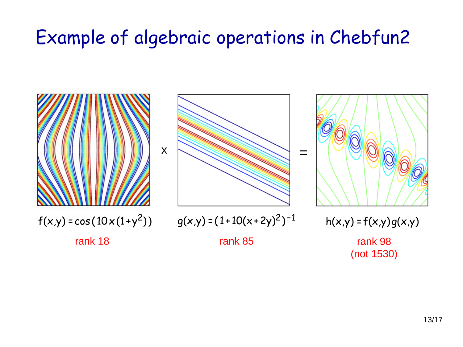### Example of algebraic operations in Chebfun2

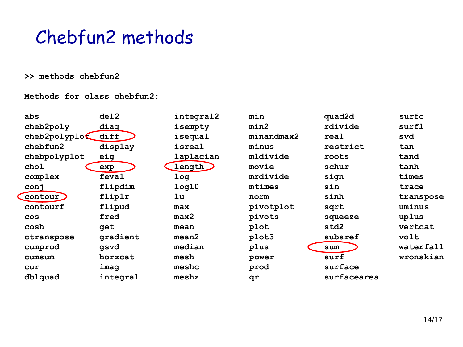Chebfun2 methods

#### **>> methods chebfun2**

**Methods for class chebfun2:**

| abs          | de12     | integral2          | min        | quad2d      | surfc     |
|--------------|----------|--------------------|------------|-------------|-----------|
| cheb2poly    | diag     | isempty            | min2       | rdivide     | surfl     |
| cheb2polyplo | diff     | isequal            | minandmax2 | real        | svd       |
| chebfun2     | display  | isreal             | minus      | restrict    | tan       |
| chebpolyplot | eig      | laplacian          | mldivide   | roots       | tand      |
| chol         | exp      | length             | movie      | schur       | tanh      |
| complex      | feval    | log                | mrdivide   | sign        | times     |
| conj         | flipdim  | 1 <sub>0</sub> q10 | mtimes     | sin         | trace     |
| Contour      | fliplr   | 1u                 | norm       | sinh        | transpose |
| contourf     | flipud   | max                | pivotplot  | sqrt        | uminus    |
| <b>COS</b>   | fred     | max2               | pivots     | squeeze     | uplus     |
| cosh         | get      | mean               | plot       | std2        | vertcat   |
| ctranspose   | gradient | mean2              | plot3      | subsref     | volt      |
| cumprod      | qsvd     | median             | plus       | sum         | waterfall |
| cumsum       | horzcat  | mesh               | power      | surf        | wronskian |
| cur          | imag     | meshc              | prod       | surface     |           |
| dblquad      | integral | meshz              | qr         | surfacearea |           |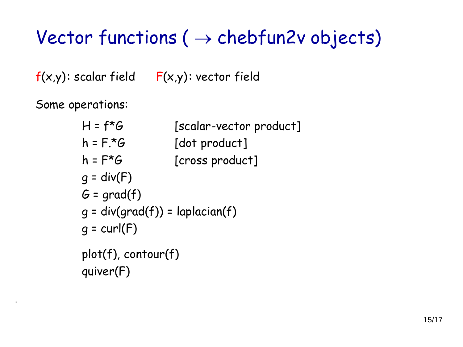# Vector functions ( $\rightarrow$  chebfun2v objects)

 $f(x,y)$ : scalar field  $F(x,y)$ : vector field

Some operations:

| $H = f^*G$                        | [scalar-vector product] |
|-----------------------------------|-------------------------|
| $h = F^{\star}G$                  | [dot product]           |
| $h = F^{\star}G$                  | [cross product]         |
| $q = div(F)$                      |                         |
| $G = \text{grad}(f)$              |                         |
| $g = div(grad(f)) = laplacian(f)$ |                         |
| $q = curl(F)$                     |                         |
| plot(f), contour(f)               |                         |
| quiver(F)                         |                         |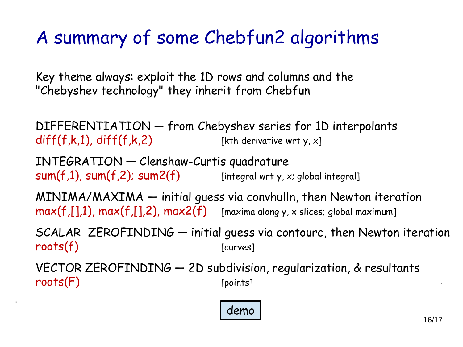# A summary of some Chebfun2 algorithms

Key theme always: exploit the 1D rows and columns and the "Chebyshev technology" they inherit from Chebfun

DIFFERENTIATION — from Chebyshev series for 1D interpolants  $diff(f,k,1), diff(f,k,2)$  [kth derivative wrt y, x]

INTEGRATION — Clenshaw-Curtis quadrature  $sum(f,1)$ ,  $sum(f,2)$ ;  $sum2(f)$  [integral wrt y, x; global integral]

.

MINIMA/MAXIMA — initial guess via convhulln, then Newton iteration  $max(f, [],1)$ ,  $max(f, [],2)$ ,  $max2(f)$  [maxima along y, x slices; global maximum]

SCALAR ZEROFINDING — initial guess via contourc, then Newton iteration roots(f) [curves]

VECTOR ZEROFINDING — 2D subdivision, regularization, & resultants  $roots(F)$  [points]